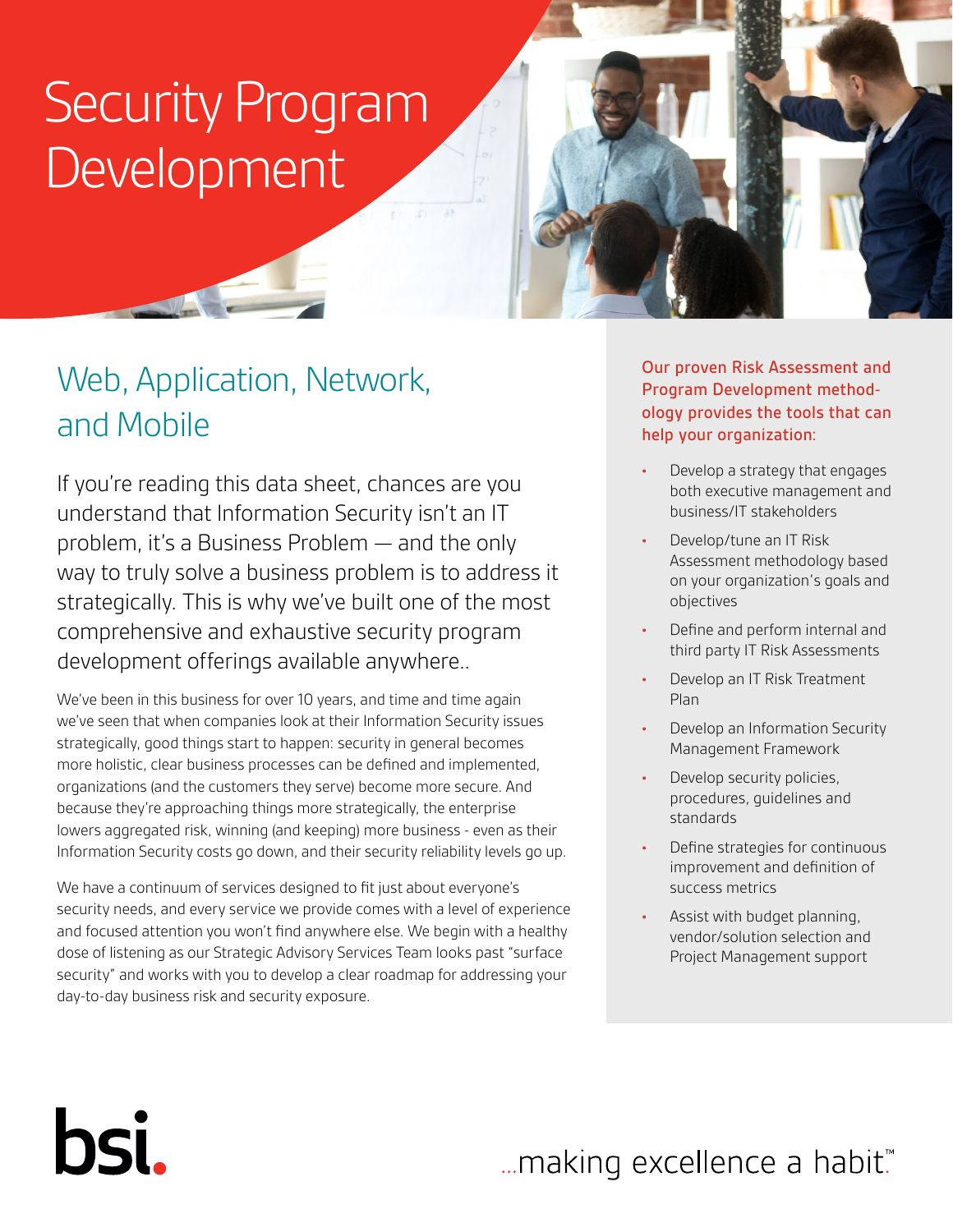# Security Program Development

# Web, Application, Network, and Mobile

If you're reading this data sheet, chances are you understand that Information Security isn't an IT problem, it's a Business Problem — and the only way to truly solve a business problem is to address it strategically. This is why we've built one of the most comprehensive and exhaustive security program development offerings available anywhere..

We've been in this business for over 10 years, and time and time again we've seen that when companies look at their Information Security issues strategically, good things start to happen: security in general becomes more holistic, clear business processes can be defined and implemented, organizations (and the customers they serve) become more secure. And because they're approaching things more strategically, the enterprise lowers aggregated risk, winning (and keeping) more business - even as their Information Security costs go down, and their security reliability levels go up.

We have a continuum of services designed to fit just about everyone's security needs, and every service we provide comes with a level of experience and focused attention you won't find anywhere else. We begin with a healthy dose of listening as our Strategic Advisory Services Team looks past "surface security" and works with you to develop a clear roadmap for addressing your day-to-day business risk and security exposure.

hsi.

Our proven Risk Assessment and Program Development methodology provides the tools that can help your organization:

- **•** Develop a strategy that engages both executive management and business/IT stakeholders
- **•** Develop/tune an IT Risk Assessment methodology based on your organization's goals and objectives
- **•** Define and perform internal and third party IT Risk Assessments
- **•** Develop an IT Risk Treatment Plan
- **•** Develop an Information Security Management Framework
- **•** Develop security policies, procedures, guidelines and standards
- **•** Define strategies for continuous improvement and definition of success metrics
- **•** Assist with budget planning, vendor/solution selection and Project Management support

# ... making excellence a habit."